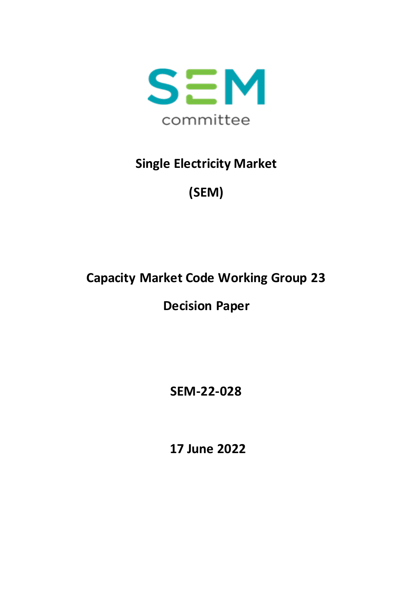

## **Single Electricity Market**

# **(SEM)**

# **Capacity Market Code Working Group 23**

# **Decision Paper**

**SEM-22-028**

**17 June 2022**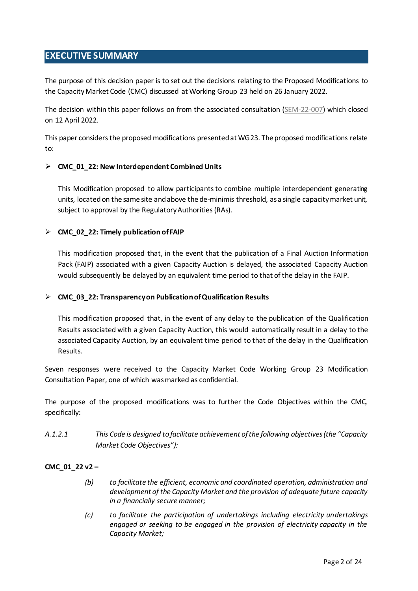## <span id="page-1-0"></span>**EXECUTIVE SUMMARY**

The purpose of this decision paper is to set out the decisions relating to the Proposed Modifications to the Capacity Market Code (CMC) discussed at Working Group 23 held on 26 January 2022.

The decision within this paper follows on from the associated consultation [\(SEM-22-007\)](https://www.semcommittee.com/sites/semc/files/media-files/SEM-22-007%20WG23%20Consultation%20Paper.pdf) which closed on 12 April 2022.

This paper considers the proposed modifications presented at WG23. The proposed modifications relate to:

#### **CMC\_01\_22: New Interdependent Combined Units**

This Modification proposed to allow participants to combine multiple interdependent generating units, locatedon the same site and above the de-minimis threshold, as a single capacity market unit, subject to approval by the Regulatory Authorities (RAs).

#### **CMC\_02\_22: Timely publication of FAIP**

This modification proposed that, in the event that the publication of a Final Auction Information Pack (FAIP) associated with a given Capacity Auction is delayed, the associated Capacity Auction would subsequently be delayed by an equivalent time period to that of the delay in the FAIP.

#### **CMC\_03\_22: Transparency on Publication of Qualification Results**

This modification proposed that, in the event of any delay to the publication of the Qualification Results associated with a given Capacity Auction, this would automatically result in a delay to the associated Capacity Auction, by an equivalent time period to that of the delay in the Qualification Results.

Seven responses were received to the Capacity Market Code Working Group 23 Modification Consultation Paper, one of which wasmarked as confidential.

The purpose of the proposed modifications was to further the Code Objectives within the CMC, specifically:

*A.1.2.1 This Code is designed to facilitate achievement of the following objectives (the "Capacity Market Code Objectives"):*

#### **CMC\_01\_22 v2 –**

- *(b) to facilitate the efficient, economic and coordinated operation, administration and development of the Capacity Market and the provision of adequate future capacity in a financially secure manner;*
- *(c) to facilitate the participation of undertakings including electricity undertakings engaged or seeking to be engaged in the provision of electricity capacity in the Capacity Market;*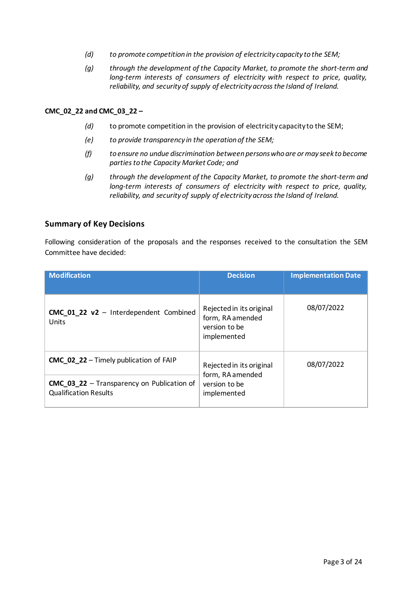- *(d) to promote competition in the provision of electricity capacity to the SEM;*
- *(g) through the development of the Capacity Market, to promote the short-term and long-term interests of consumers of electricity with respect to price, quality, reliability, and security of supply of electricity across the Island of Ireland.*

#### **CMC\_02\_22 and CMC\_03\_22 –**

- *(d)* to promote competition in the provision of electricity capacity to the SEM;
- *(e) to provide transparency in the operation of the SEM;*
- *(f) to ensure no undue discrimination between persons who are or may seek to become parties to the Capacity Market Code; and*
- *(g) through the development of the Capacity Market, to promote the short-term and long-term interests of consumers of electricity with respect to price, quality, reliability, and security of supply of electricity across the Island of Ireland.*

#### **Summary of Key Decisions**

Following consideration of the proposals and the responses received to the consultation the SEM Committee have decided:

| <b>Modification</b>                                                               | <b>Decision</b>                                                              | <b>Implementation Date</b> |
|-----------------------------------------------------------------------------------|------------------------------------------------------------------------------|----------------------------|
| CMC 01_22_v2 - Interdependent Combined<br>Units                                   | Rejected in its original<br>form, RA amended<br>version to be<br>implemented | 08/07/2022                 |
| <b>CMC_02_22</b> - Timely publication of FAIP                                     | Rejected in its original                                                     | 08/07/2022                 |
| <b>CMC 03 22</b> - Transparency on Publication of<br><b>Qualification Results</b> | form, RA amended<br>version to be<br>implemented                             |                            |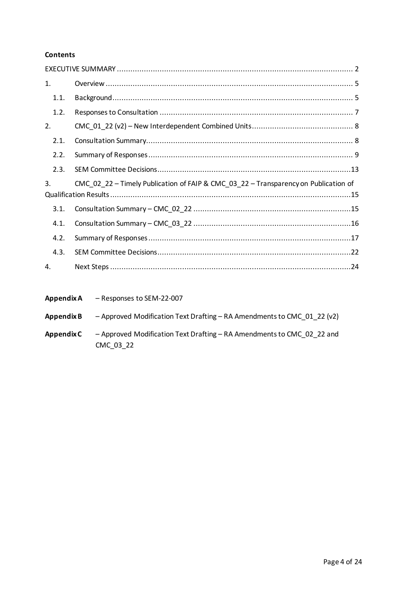#### **Contents**

| 1.   |                                                                                     |  |
|------|-------------------------------------------------------------------------------------|--|
| 1.1. |                                                                                     |  |
| 1.2. |                                                                                     |  |
| 2.   |                                                                                     |  |
| 2.1. |                                                                                     |  |
| 2.2. |                                                                                     |  |
| 2.3. |                                                                                     |  |
| 3.   | CMC_02_22 - Timely Publication of FAIP & CMC_03_22 - Transparency on Publication of |  |
| 3.1. |                                                                                     |  |
| 4.1. |                                                                                     |  |
| 4.2. |                                                                                     |  |
| 4.3. |                                                                                     |  |
| 4.   |                                                                                     |  |

| Appendix A        | - Responses to SEM-22-007                                                           |
|-------------------|-------------------------------------------------------------------------------------|
| Appendix B        | - Approved Modification Text Drafting - RA Amendments to CMC 01 22 ( $v2$ )         |
| <b>Appendix C</b> | - Approved Modification Text Drafting - RA Amendments to CMC 02 22 and<br>CMC 03 22 |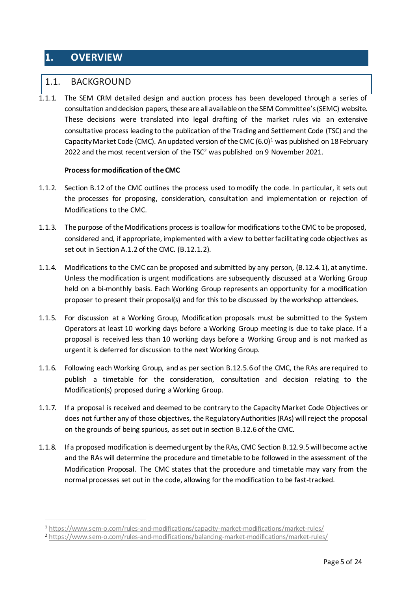## <span id="page-4-0"></span>**1. OVERVIEW**

### <span id="page-4-1"></span>1.1. BACKGROUND

1.1.1. The SEM CRM detailed design and auction process has been developed through a series of consultation and decision papers, these are all available on the SEM Committee's (SEMC) website. These decisions were translated into legal drafting of the market rules via an extensive consultative process leading to the publication of the Trading and Settlement Code (TSC) and the Capacity Market Code (CMC). An updated version of the CMC  $(6.0)^1$  was published on 18 February 2022 and the most recent version of the TSC<sup>2</sup> was published on 9 November 2021.

#### **Process for modification of the CMC**

- 1.1.2. Section B.12 of the CMC outlines the process used to modify the code. In particular, it sets out the processes for proposing, consideration, consultation and implementation or rejection of Modifications to the CMC.
- 1.1.3. The purpose of the Modifications process is to allow for modifications to the CMC to be proposed, considered and, if appropriate, implemented with a view to better facilitating code objectives as set out in Section A.1.2 of the CMC. (B.12.1.2).
- 1.1.4. Modifications to the CMC can be proposed and submitted by any person, (B.12.4.1), at any time. Unless the modification is urgent modifications are subsequently discussed at a Working Group held on a bi-monthly basis. Each Working Group represents an opportunity for a modification proposer to present their proposal(s) and for this to be discussed by the workshop attendees.
- 1.1.5. For discussion at a Working Group, Modification proposals must be submitted to the System Operators at least 10 working days before a Working Group meeting is due to take place. If a proposal is received less than 10 working days before a Working Group and is not marked as urgent it is deferred for discussion to the next Working Group.
- 1.1.6. Following each Working Group, and as per section B.12.5.6 of the CMC, the RAs are required to publish a timetable for the consideration, consultation and decision relating to the Modification(s) proposed during a Working Group.
- 1.1.7. If a proposal is received and deemed to be contrary to the Capacity Market Code Objectives or does not further any of those objectives, the Regulatory Authorities (RAs) will reject the proposal on the grounds of being spurious, as set out in section B.12.6 of the CMC.
- 1.1.8. If a proposed modification is deemed urgent by the RAs, CMC Section B.12.9.5 will become active and the RAs will determine the procedure and timetable to be followed in the assessment of the Modification Proposal. The CMC states that the procedure and timetable may vary from the normal processes set out in the code, allowing for the modification to be fast-tracked.

<sup>1</sup> <sup>1</sup> <https://www.sem-o.com/rules-and-modifications/capacity-market-modifications/market-rules/>

<sup>2</sup> <https://www.sem-o.com/rules-and-modifications/balancing-market-modifications/market-rules/>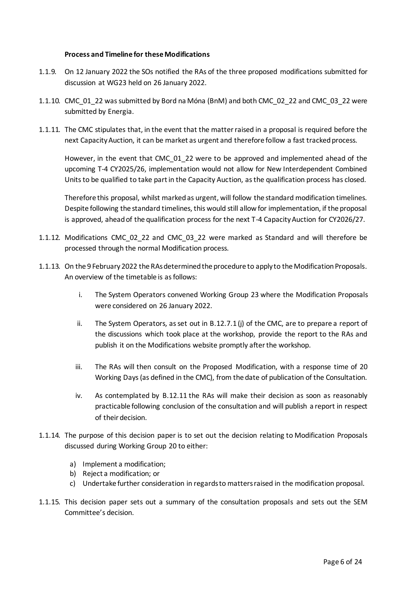#### **Process and Timeline for these Modifications**

- 1.1.9. On 12 January 2022 the SOs notified the RAs of the three proposed modifications submitted for discussion at WG23 held on 26 January 2022.
- 1.1.10. CMC\_01\_22 was submitted by Bord na Móna (BnM) and both CMC\_02\_22 and CMC\_03\_22 were submitted by Energia.
- 1.1.11. The CMC stipulates that, in the event that the matter raised in a proposal is required before the next Capacity Auction, it can be market as urgent and therefore follow a fast tracked process.

However, in the event that CMC\_01\_22 were to be approved and implemented ahead of the upcoming T-4 CY2025/26, implementation would not allow for New Interdependent Combined Units to be qualified to take part in the Capacity Auction, as the qualification process has closed.

Therefore this proposal, whilst marked as urgent, will follow the standard modification timelines. Despite following the standard timelines, this would still allow for implementation, if the proposal is approved, ahead of the qualification process for the next T-4 Capacity Auction for CY2026/27.

- 1.1.12. Modifications CMC\_02\_22 and CMC\_03\_22 were marked as Standard and will therefore be processed through the normal Modification process.
- 1.1.13. On the 9 February 2022 the RAs determined the procedure to apply to the Modification Proposals. An overview of the timetable is as follows:
	- i. The System Operators convened Working Group 23 where the Modification Proposals were considered on 26 January 2022.
	- ii. The System Operators, as set out in B.12.7.1 (j) of the CMC, are to prepare a report of the discussions which took place at the workshop, provide the report to the RAs and publish it on the Modifications website promptly after the workshop.
	- iii. The RAs will then consult on the Proposed Modification, with a response time of 20 Working Days (as defined in the CMC), from the date of publication of the Consultation.
	- iv. As contemplated by B.12.11 the RAs will make their decision as soon as reasonably practicable following conclusion of the consultation and will publish a report in respect of their decision.
- 1.1.14. The purpose of this decision paper is to set out the decision relating to Modification Proposals discussed during Working Group 20 to either:
	- a) Implement a modification;
	- b) Reject a modification; or
	- c) Undertake further consideration in regards to matters raised in the modification proposal.
- 1.1.15. This decision paper sets out a summary of the consultation proposals and sets out the SEM Committee's decision.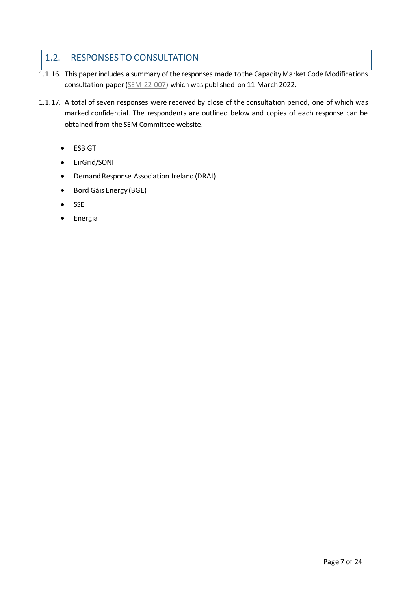## <span id="page-6-0"></span>1.2. RESPONSES TO CONSULTATION

- 1.1.16. This paper includes a summary of the responses made to the Capacity Market Code Modifications consultation paper[\(SEM-22-007\)](https://www.semcommittee.com/sites/semc/files/media-files/SEM-22-007%20WG23%20Consultation%20Paper.pdf) which was published on 11 March 2022.
- 1.1.17. A total of seven responses were received by close of the consultation period, one of which was marked confidential. The respondents are outlined below and copies of each response can be obtained from the SEM Committee website.
	- ESB GT
	- EirGrid/SONI
	- Demand Response Association Ireland (DRAI)
	- Bord Gáis Energy (BGE)
	- SSE
	- **•** Energia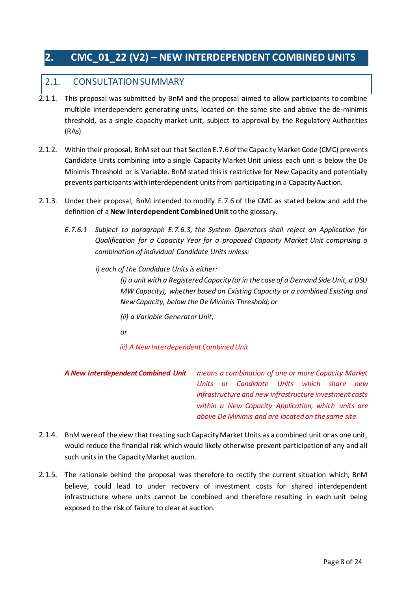## <span id="page-7-0"></span>**2. CMC\_01\_22 (V2) – NEW INTERDEPENDENT COMBINED UNITS**

### <span id="page-7-1"></span>2.1. CONSULTATION SUMMARY

- 2.1.1. This proposal was submitted by BnM and the proposal aimed to allow participants to combine multiple interdependent generating units, located on the same site and above the de-minimis threshold, as a single capacity market unit, subject to approval by the Regulatory Authorities (RAs).
- 2.1.2. Within their proposal, BnM set out that Section E.7.6 of the Capacity Market Code (CMC) prevents Candidate Units combining into a single Capacity Market Unit unless each unit is below the De Minimis Threshold or is Variable. BnM stated this is restrictive for New Capacity and potentially prevents participants with interdependent units from participating in a Capacity Auction.
- 2.1.3. Under their proposal, BnM intended to modify E.7.6 of the CMC as stated below and add the definition of a **New Interdependent Combined Unit** to the glossary.
	- *E.7.6.1 Subject to paragraph E.7.6.3, the System Operators shall reject an Application for Qualification for a Capacity Year for a proposed Capacity Market Unit comprising a combination of individual Candidate Units unless:*
		- *i) each of the Candidate Units is either:*

*(i) a unit with a Registered Capacity (or in the case of a Demand Side Unit, a DSU MW Capacity), whether based on Existing Capacity or a combined Existing and New Capacity, below the De Minimis Threshold; or*

- *(ii) a Variable Generator Unit;*
- *or*

*iii) A New Interdependent Combined Unit*

- *A New Interdependent Combined Unit means a combination of one or more Capacity Market Units or Candidate Units which share new infrastructure and new infrastructure investment costs within a New Capacity Application, which units are above De Minimis and are located on the same site.*
- 2.1.4. BnM were of the view that treating such Capacity Market Units as a combined unit or as one unit, would reduce the financial risk which would likely otherwise prevent participation of any and all such units in the Capacity Market auction.
- 2.1.5. The rationale behind the proposal was therefore to rectify the current situation which, BnM believe, could lead to under recovery of investment costs for shared interdependent infrastructure where units cannot be combined and therefore resulting in each unit being exposed to the risk of failure to clear at auction.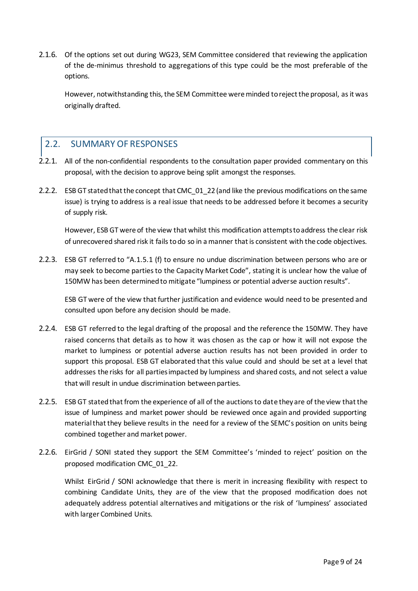2.1.6. Of the options set out during WG23, SEM Committee considered that reviewing the application of the de-minimus threshold to aggregations of this type could be the most preferable of the options.

However, notwithstanding this, the SEM Committee wereminded to reject the proposal, as it was originally drafted.

## <span id="page-8-0"></span>2.2. SUMMARY OF RESPONSES

- 2.2.1. All of the non-confidential respondents to the consultation paper provided commentary on this proposal, with the decision to approve being split amongst the responses.
- 2.2.2. ESB GT stated that the concept that CMC\_01\_22 (and like the previous modifications on the same issue) is trying to address is a real issue that needs to be addressed before it becomes a security of supply risk.

However, ESB GT were of the view that whilst this modification attempts to address the clear risk of unrecovered shared risk it fails to do so in a manner that is consistent with the code objectives.

2.2.3. ESB GT referred to "A.1.5.1 (f) to ensure no undue discrimination between persons who are or may seek to become parties to the Capacity Market Code", stating it is unclear how the value of 150MW has been determined to mitigate "lumpiness or potential adverse auction results".

ESB GT were of the view that further justification and evidence would need to be presented and consulted upon before any decision should be made.

- 2.2.4. ESB GT referred to the legal drafting of the proposal and the reference the 150MW. They have raised concerns that details as to how it was chosen as the cap or how it will not expose the market to lumpiness or potential adverse auction results has not been provided in order to support this proposal. ESB GT elaborated that this value could and should be set at a level that addresses the risks for all parties impacted by lumpiness and shared costs, and not select a value that will result in undue discrimination between parties.
- 2.2.5. ESB GT stated that from the experience of all of the auctions to date they are of the view that the issue of lumpiness and market power should be reviewed once again and provided supporting material that they believe results in the need for a review of the SEMC's position on units being combined together and market power.
- 2.2.6. EirGrid / SONI stated they support the SEM Committee's 'minded to reject' position on the proposed modification CMC\_01\_22.

Whilst EirGrid / SONI acknowledge that there is merit in increasing flexibility with respect to combining Candidate Units, they are of the view that the proposed modification does not adequately address potential alternatives and mitigations or the risk of 'lumpiness' associated with larger Combined Units.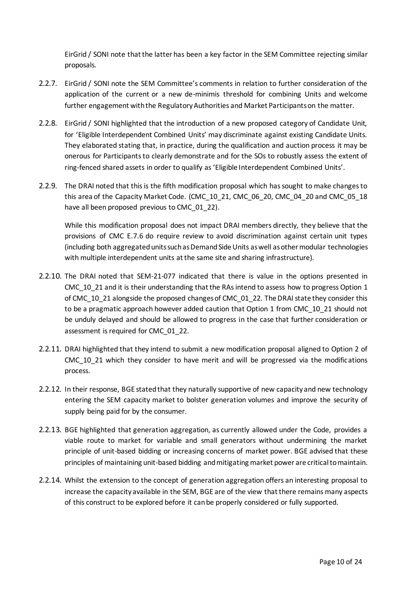EirGrid / SONI note that the latter has been a key factor in the SEM Committee rejecting similar proposals.

- 2.2.7. EirGrid / SONI note the SEM Committee's comments in relation to further consideration of the application of the current or a new de-minimis threshold for combining Units and welcome further engagement with the Regulatory Authorities and Market Participants on the matter.
- 2.2.8. EirGrid / SONI highlighted that the introduction of a new proposed category of Candidate Unit, for 'Eligible Interdependent Combined Units' may discriminate against existing Candidate Units. They elaborated stating that, in practice, during the qualification and auction process it may be onerous for Participants to clearly demonstrate and for the SOs to robustly assess the extent of ring-fenced shared assets in order to qualify as 'Eligible Interdependent Combined Units'.
- 2.2.9. The DRAI noted that this is the fifth modification proposal which has sought to make changes to this area of the Capacity Market Code. (CMC\_10\_21, CMC\_06\_20, CMC\_04\_20 and CMC\_05\_18 have all been proposed previous to CMC\_01\_22).

While this modification proposal does not impact DRAI members directly, they believe that the provisions of CMC E.7.6 do require review to avoid discrimination against certain unit types (including both aggregated units such as Demand Side Units as well as other modular technologies with multiple interdependent units at the same site and sharing infrastructure).

- 2.2.10. The DRAI noted that SEM-21-077 indicated that there is value in the options presented in CMC 10 21 and it is their understanding that the RAs intend to assess how to progress Option 1 of CMC\_10\_21 alongside the proposed changes of CMC\_01\_22. The DRAI state they consider this to be a pragmatic approach however added caution that Option 1 from CMC\_10\_21 should not be unduly delayed and should be allowed to progress in the case that further consideration or assessment is required for CMC\_01\_22.
- 2.2.11. DRAI highlighted that they intend to submit a new modification proposal aligned to Option 2 of CMC<sub>10</sub> 21 which they consider to have merit and will be progressed via the modifications process.
- 2.2.12. In their response, BGE stated that they naturally supportive of new capacity and new technology entering the SEM capacity market to bolster generation volumes and improve the security of supply being paid for by the consumer.
- 2.2.13. BGE highlighted that generation aggregation, as currently allowed under the Code, provides a viable route to market for variable and small generators without undermining the market principle of unit-based bidding or increasing concerns of market power. BGE advised that these principles of maintaining unit-based bidding and mitigating market power are critical to maintain.
- 2.2.14. Whilst the extension to the concept of generation aggregation offers an interesting proposal to increase the capacity available in the SEM, BGE are of the view that there remains many aspects of this construct to be explored before it can be properly considered or fully supported.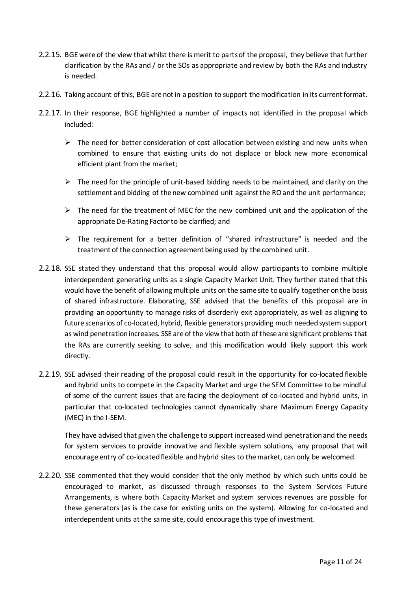- 2.2.15. BGE were of the view that whilst there is merit to parts of the proposal, they believe that further clarification by the RAs and / or the SOs as appropriate and review by both the RAs and industry is needed.
- 2.2.16. Taking account of this, BGE are not in a position to support the modification in its current format.
- 2.2.17. In their response, BGE highlighted a number of impacts not identified in the proposal which included:
	- $\triangleright$  The need for better consideration of cost allocation between existing and new units when combined to ensure that existing units do not displace or block new more economical efficient plant from the market;
	- $\triangleright$  The need for the principle of unit-based bidding needs to be maintained, and clarity on the settlement and bidding of the new combined unit against the RO and the unit performance;
	- $\triangleright$  The need for the treatment of MEC for the new combined unit and the application of the appropriate De-Rating Factor to be clarified; and
	- $\triangleright$  The requirement for a better definition of "shared infrastructure" is needed and the treatment of the connection agreement being used by the combined unit.
- 2.2.18. SSE stated they understand that this proposal would allow participants to combine multiple interdependent generating units as a single Capacity Market Unit. They further stated that this would have the benefit of allowing multiple units on the same site to qualify together on the basis of shared infrastructure. Elaborating, SSE advised that the benefits of this proposal are in providing an opportunity to manage risks of disorderly exit appropriately, as well as aligning to future scenarios of co-located, hybrid, flexible generators providing much needed system support as wind penetration increases. SSE are of the view that both of these are significant problems that the RAs are currently seeking to solve, and this modification would likely support this work directly.
- 2.2.19. SSE advised their reading of the proposal could result in the opportunity for co-located flexible and hybrid units to compete in the Capacity Market and urge the SEM Committee to be mindful of some of the current issues that are facing the deployment of co-located and hybrid units, in particular that co-located technologies cannot dynamically share Maximum Energy Capacity (MEC) in the I-SEM.

They have advised that given the challenge to support increased wind penetration and the needs for system services to provide innovative and flexible system solutions, any proposal that will encourage entry of co-located flexible and hybrid sites to the market, can only be welcomed.

2.2.20. SSE commented that they would consider that the only method by which such units could be encouraged to market, as discussed through responses to the System Services Future Arrangements, is where both Capacity Market and system services revenues are possible for these generators (as is the case for existing units on the system). Allowing for co-located and interdependent units at the same site, could encourage this type of investment.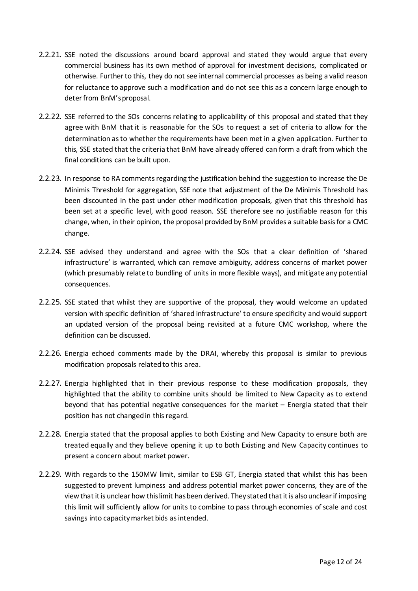- 2.2.21. SSE noted the discussions around board approval and stated they would argue that every commercial business has its own method of approval for investment decisions, complicated or otherwise. Further to this, they do not see internal commercial processes as being a valid reason for reluctance to approve such a modification and do not see this as a concern large enough to deter from BnM's proposal.
- 2.2.22. SSE referred to the SOs concerns relating to applicability of this proposal and stated that they agree with BnM that it is reasonable for the SOs to request a set of criteria to allow for the determination as to whether the requirements have been met in a given application. Further to this, SSE stated that the criteria that BnM have already offered can form a draft from which the final conditions can be built upon.
- 2.2.23. In response to RA comments regarding the justification behind the suggestion to increase the De Minimis Threshold for aggregation, SSE note that adjustment of the De Minimis Threshold has been discounted in the past under other modification proposals, given that this threshold has been set at a specific level, with good reason. SSE therefore see no justifiable reason for this change, when, in their opinion, the proposal provided by BnM provides a suitable basis for a CMC change.
- 2.2.24. SSE advised they understand and agree with the SOs that a clear definition of 'shared infrastructure' is warranted, which can remove ambiguity, address concerns of market power (which presumably relate to bundling of units in more flexible ways), and mitigate any potential consequences.
- 2.2.25. SSE stated that whilst they are supportive of the proposal, they would welcome an updated version with specific definition of 'shared infrastructure' to ensure specificity and would support an updated version of the proposal being revisited at a future CMC workshop, where the definition can be discussed.
- 2.2.26. Energia echoed comments made by the DRAI, whereby this proposal is similar to previous modification proposals related to this area.
- 2.2.27. Energia highlighted that in their previous response to these modification proposals, they highlighted that the ability to combine units should be limited to New Capacity as to extend beyond that has potential negative consequences for the market – Energia stated that their position has not changed in this regard.
- 2.2.28. Energia stated that the proposal applies to both Existing and New Capacity to ensure both are treated equally and they believe opening it up to both Existing and New Capacity continues to present a concern about market power.
- 2.2.29. With regards to the 150MW limit, similar to ESB GT, Energia stated that whilst this has been suggested to prevent lumpiness and address potential market power concerns, they are of the view that it is unclear how this limit has been derived. They stated that it is also unclear if imposing this limit will sufficiently allow for units to combine to pass through economies of scale and cost savings into capacity market bids as intended.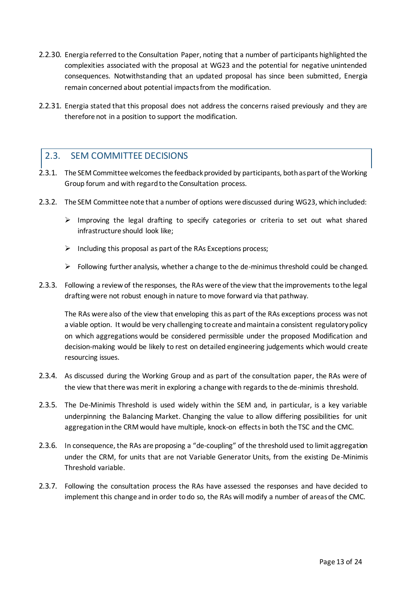- 2.2.30. Energia referred to the Consultation Paper, noting that a number of participants highlighted the complexities associated with the proposal at WG23 and the potential for negative unintended consequences. Notwithstanding that an updated proposal has since been submitted, Energia remain concerned about potential impacts from the modification.
- 2.2.31. Energia stated that this proposal does not address the concerns raised previously and they are therefore not in a position to support the modification.

## <span id="page-12-0"></span>2.3. SEM COMMITTEE DECISIONS

- 2.3.1. The SEM Committee welcomes the feedback provided by participants, both as part of the Working Group forum and with regard to the Consultation process.
- 2.3.2. The SEM Committee note that a number of options were discussed during WG23, which included:
	- $\triangleright$  Improving the legal drafting to specify categories or criteria to set out what shared infrastructure should look like;
	- $\triangleright$  Including this proposal as part of the RAs Exceptions process;
	- $\triangleright$  Following further analysis, whether a change to the de-minimus threshold could be changed.
- 2.3.3. Following a review of the responses, the RAs were of the view that the improvements to the legal drafting were not robust enough in nature to move forward via that pathway.

The RAs were also of the view that enveloping this as part of the RAs exceptions process was not a viable option. It would be very challenging to create and maintain a consistent regulatory policy on which aggregations would be considered permissible under the proposed Modification and decision-making would be likely to rest on detailed engineering judgements which would create resourcing issues.

- 2.3.4. As discussed during the Working Group and as part of the consultation paper, the RAs were of the view that there was merit in exploring a change with regards to the de-minimis threshold.
- 2.3.5. The De-Minimis Threshold is used widely within the SEM and, in particular, is a key variable underpinning the Balancing Market. Changing the value to allow differing possibilities for unit aggregation in the CRM would have multiple, knock-on effects in both the TSC and the CMC.
- 2.3.6. In consequence, the RAs are proposing a "de-coupling" of the threshold used to limit aggregation under the CRM, for units that are not Variable Generator Units, from the existing De-Minimis Threshold variable.
- 2.3.7. Following the consultation process the RAs have assessed the responses and have decided to implement this change and in order to do so, the RAs will modify a number of areas of the CMC.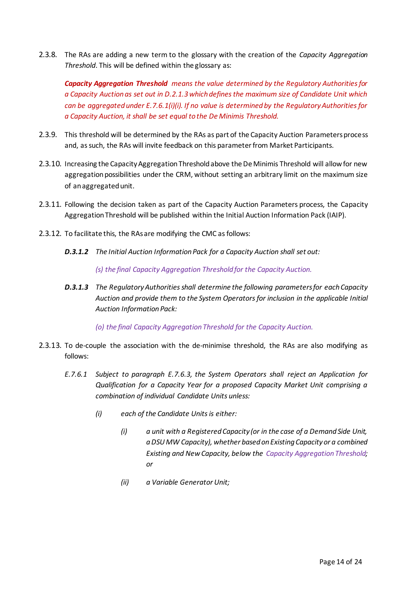2.3.8. The RAs are adding a new term to the glossary with the creation of the *Capacity Aggregation Threshold*. This will be defined within the glossary as:

*Capacity Aggregation Threshold means the value determined by the Regulatory Authorities for a Capacity Auction as set out in D.2.1.3 which defines the maximum size of Candidate Unit which can be aggregated under E.7.6.1(i)(i). If no value is determined by the Regulatory Authorities for a Capacity Auction, it shall be set equal to the De Minimis Threshold.*

- 2.3.9. This threshold will be determined by the RAs as part of the Capacity Auction Parameters process and, as such, the RAs will invite feedback on this parameter from Market Participants.
- 2.3.10. Increasing the Capacity Aggregation Threshold above the De Minimis Threshold will allow for new aggregation possibilities under the CRM, without setting an arbitrary limit on the maximum size of an aggregated unit.
- 2.3.11. Following the decision taken as part of the Capacity Auction Parameters process, the Capacity Aggregation Threshold will be published within the Initial Auction Information Pack (IAIP).
- 2.3.12. To facilitate this, the RAs are modifying the CMC as follows:
	- *D.3.1.2 The Initial Auction Information Pack for a Capacity Auction shall set out:*

*(s) the final Capacity Aggregation Threshold for the Capacity Auction.*

*D.3.1.3 The Regulatory Authorities shall determine the following parameters for each Capacity Auction and provide them to the System Operators for inclusion in the applicable Initial Auction Information Pack:*

*(o) the final Capacity Aggregation Threshold for the Capacity Auction.*

- 2.3.13. To de-couple the association with the de-minimise threshold, the RAs are also modifying as follows:
	- *E.7.6.1 Subject to paragraph E.7.6.3, the System Operators shall reject an Application for Qualification for a Capacity Year for a proposed Capacity Market Unit comprising a combination of individual Candidate Units unless:*
		- *(i) each of the Candidate Units is either:*
			- *(i) a unit with a Registered Capacity (or in the case of a Demand Side Unit, a DSU MW Capacity), whether based on Existing Capacity or a combined Existing and New Capacity, below the Capacity Aggregation Threshold; or*
			- *(ii) a Variable Generator Unit;*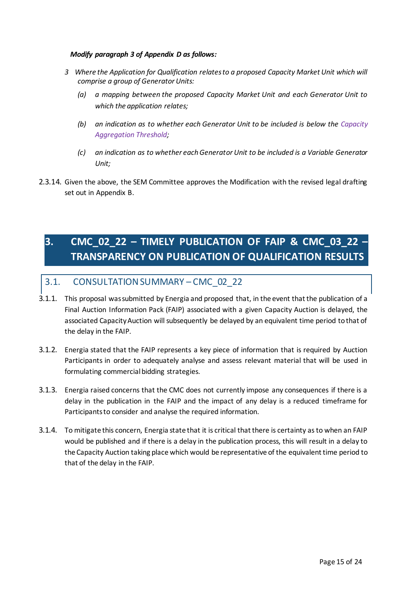#### *Modify paragraph 3 of Appendix D as follows:*

- *3 Where the Application for Qualification relates to a proposed Capacity Market Unit which will comprise a group of Generator Units:*
	- *(a) a mapping between the proposed Capacity Market Unit and each Generator Unit to which the application relates;*
	- *(b) an indication as to whether each Generator Unit to be included is below the Capacity Aggregation Threshold;*
	- *(c) an indication as to whether each Generator Unit to be included is a Variable Generator Unit;*
- 2.3.14. Given the above, the SEM Committee approves the Modification with the revised legal drafting set out in Appendix B.

## <span id="page-14-0"></span>**3. CMC\_02\_22 – TIMELY PUBLICATION OF FAIP & CMC\_03\_22 – TRANSPARENCY ON PUBLICATION OF QUALIFICATION RESULTS**

## <span id="page-14-1"></span>3.1. CONSULTATION SUMMARY – CMC\_02\_22

- 3.1.1. This proposal was submitted by Energia and proposed that, in the event that the publication of a Final Auction Information Pack (FAIP) associated with a given Capacity Auction is delayed, the associated Capacity Auction will subsequently be delayed by an equivalent time period to that of the delay in the FAIP.
- 3.1.2. Energia stated that the FAIP represents a key piece of information that is required by Auction Participants in order to adequately analyse and assess relevant material that will be used in formulating commercial bidding strategies.
- 3.1.3. Energia raised concerns that the CMC does not currently impose any consequences if there is a delay in the publication in the FAIP and the impact of any delay is a reduced timeframe for Participants to consider and analyse the required information.
- 3.1.4. To mitigate this concern, Energia state that it is critical that there is certainty as to when an FAIP would be published and if there is a delay in the publication process, this will result in a delay to the Capacity Auction taking place which would be representative of the equivalent time period to that of the delay in the FAIP.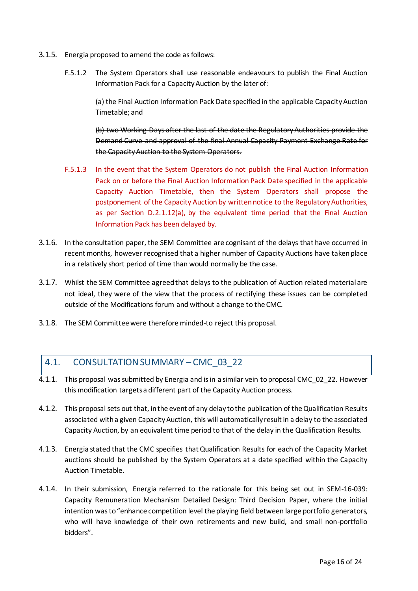- 3.1.5. Energia proposed to amend the code as follows:
	- F.5.1.2 The System Operators shall use reasonable endeavours to publish the Final Auction Information Pack for a Capacity Auction by the later of:

(a) the Final Auction Information Pack Date specified in the applicable Capacity Auction Timetable; and

(b) two Working Days after the last of the date the Regulatory Authorities provide the Demand Curve and approval of the final Annual Capacity Payment Exchange Rate for the Capacity Auction to the System Operators.

- F.5.1.3 In the event that the System Operators do not publish the Final Auction Information Pack on or before the Final Auction Information Pack Date specified in the applicable Capacity Auction Timetable, then the System Operators shall propose the postponement of the Capacity Auction by written notice to the Regulatory Authorities, as per Section D.2.1.12(a), by the equivalent time period that the Final Auction Information Pack has been delayed by.
- 3.1.6. In the consultation paper, the SEM Committee are cognisant of the delays that have occurred in recent months, however recognised that a higher number of Capacity Auctions have taken place in a relatively short period of time than would normally be the case.
- 3.1.7. Whilst the SEM Committee agreed that delays to the publication of Auction related material are not ideal, they were of the view that the process of rectifying these issues can be completed outside of the Modifications forum and without a change to the CMC.
- 3.1.8. The SEM Committee were therefore minded-to reject this proposal.

## <span id="page-15-0"></span>4.1. CONSULTATION SUMMARY – CMC\_03\_22

- 4.1.1. This proposal was submitted by Energia and is in a similar vein to proposal CMC\_02\_22. However this modification targets a different part of the Capacity Auction process.
- 4.1.2. This proposal sets out that, in the event of any delay to the publication of the Qualification Results associated with a given Capacity Auction, this will automatically result in a delay to the associated Capacity Auction, by an equivalent time period to that of the delay in the Qualification Results.
- 4.1.3. Energia stated that the CMC specifies that Qualification Results for each of the Capacity Market auctions should be published by the System Operators at a date specified within the Capacity Auction Timetable.
- 4.1.4. In their submission, Energia referred to the rationale for this being set out in SEM-16-039: Capacity Remuneration Mechanism Detailed Design: Third Decision Paper, where the initial intention was to "enhance competition level the playing field between large portfolio generators, who will have knowledge of their own retirements and new build, and small non-portfolio bidders".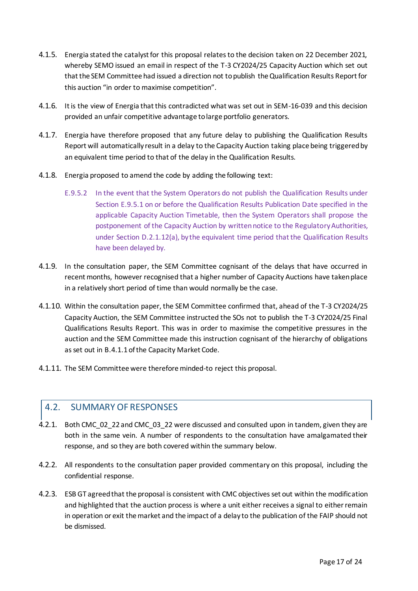- 4.1.5. Energia stated the catalyst for this proposal relates to the decision taken on 22 December 2021, whereby SEMO issued an email in respect of the T-3 CY2024/25 Capacity Auction which set out that the SEM Committee had issued a direction not to publish the Qualification Results Report for this auction "in order to maximise competition".
- 4.1.6. It is the view of Energia that this contradicted what was set out in SEM-16-039 and this decision provided an unfair competitive advantage to large portfolio generators.
- 4.1.7. Energia have therefore proposed that any future delay to publishing the Qualification Results Report will automatically result in a delay to the Capacity Auction taking place being triggered by an equivalent time period to that of the delay in the Qualification Results.
- 4.1.8. Energia proposed to amend the code by adding the following text:
	- E.9.5.2 In the event that the System Operators do not publish the Qualification Results under Section E.9.5.1 on or before the Qualification Results Publication Date specified in the applicable Capacity Auction Timetable, then the System Operators shall propose the postponement of the Capacity Auction by written notice to the Regulatory Authorities, under Section D.2.1.12(a), by the equivalent time period that the Qualification Results have been delayed by.
- 4.1.9. In the consultation paper, the SEM Committee cognisant of the delays that have occurred in recent months, however recognised that a higher number of Capacity Auctions have taken place in a relatively short period of time than would normally be the case.
- 4.1.10. Within the consultation paper, the SEM Committee confirmed that, ahead of the T-3 CY2024/25 Capacity Auction, the SEM Committee instructed the SOs not to publish the T-3 CY2024/25 Final Qualifications Results Report. This was in order to maximise the competitive pressures in the auction and the SEM Committee made this instruction cognisant of the hierarchy of obligations as set out in B.4.1.1 of the Capacity Market Code.
- 4.1.11. The SEM Committee were therefore minded-to reject this proposal.

## <span id="page-16-0"></span>4.2. SUMMARY OF RESPONSES

- 4.2.1. Both CMC\_02\_22 and CMC\_03\_22 were discussed and consulted upon in tandem, given they are both in the same vein. A number of respondents to the consultation have amalgamated their response, and so they are both covered within the summary below.
- 4.2.2. All respondents to the consultation paper provided commentary on this proposal, including the confidential response.
- 4.2.3. ESB GT agreed that the proposal is consistent with CMC objectives set out within the modification and highlighted that the auction process is where a unit either receives a signal to either remain in operation or exit the market and the impact of a delay to the publication of the FAIP should not be dismissed.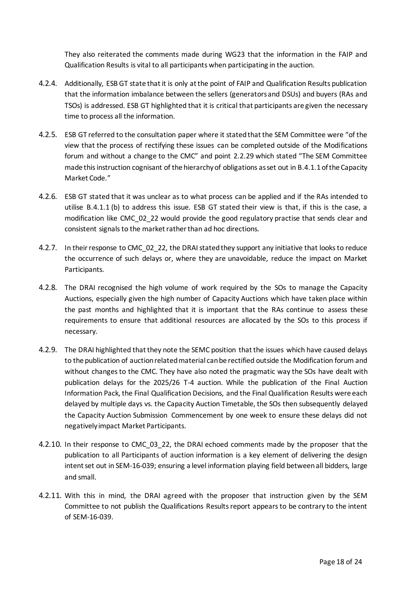They also reiterated the comments made during WG23 that the information in the FAIP and Qualification Results is vital to all participants when participating in the auction.

- 4.2.4. Additionally, ESB GT state that it is only at the point of FAIP and Qualification Results publication that the information imbalance between the sellers (generators and DSUs) and buyers (RAs and TSOs) is addressed. ESB GT highlighted that it is critical that participants are given the necessary time to process all the information.
- 4.2.5. ESB GT referred to the consultation paper where it stated that the SEM Committee were "of the view that the process of rectifying these issues can be completed outside of the Modifications forum and without a change to the CMC" and point 2.2.29 which stated "The SEM Committee made this instruction cognisant of the hierarchy of obligations as set out in B.4.1.1 of the Capacity Market Code."
- 4.2.6. ESB GT stated that it was unclear as to what process can be applied and if the RAs intended to utilise B.4.1.1 (b) to address this issue. ESB GT stated their view is that, if this is the case, a modification like CMC\_02\_22 would provide the good regulatory practise that sends clear and consistent signals to the market rather than ad hoc directions.
- 4.2.7. In their response to CMC 02 22, the DRAI stated they support any initiative that looks to reduce the occurrence of such delays or, where they are unavoidable, reduce the impact on Market Participants.
- 4.2.8. The DRAI recognised the high volume of work required by the SOs to manage the Capacity Auctions, especially given the high number of Capacity Auctions which have taken place within the past months and highlighted that it is important that the RAs continue to assess these requirements to ensure that additional resources are allocated by the SOs to this process if necessary.
- 4.2.9. The DRAI highlighted that they note the SEMC position that the issues which have caused delays to the publication of auction related material can be rectified outside the Modification forum and without changes to the CMC. They have also noted the pragmatic way the SOs have dealt with publication delays for the 2025/26 T-4 auction. While the publication of the Final Auction Information Pack, the Final Qualification Decisions, and the Final Qualification Results were each delayed by multiple days vs. the Capacity Auction Timetable, the SOs then subsequently delayed the Capacity Auction Submission Commencement by one week to ensure these delays did not negatively impact Market Participants.
- 4.2.10. In their response to CMC 03 22, the DRAI echoed comments made by the proposer that the publication to all Participants of auction information is a key element of delivering the design intent set out in SEM-16-039; ensuring a level information playing field between all bidders, large and small.
- 4.2.11. With this in mind, the DRAI agreed with the proposer that instruction given by the SEM Committee to not publish the Qualifications Results report appears to be contrary to the intent of SEM-16-039.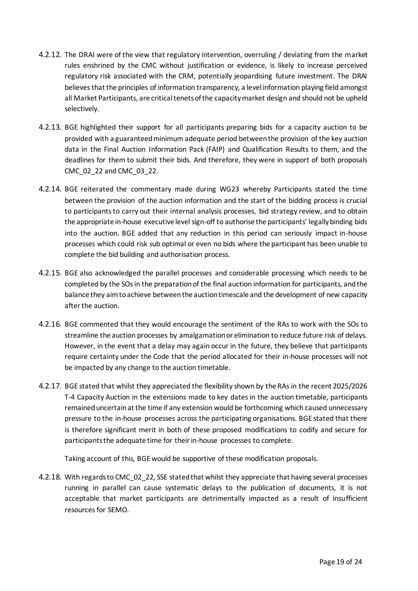- 4.2.12. The DRAI were of the view that regulatory intervention, overruling / deviating from the market rules enshrined by the CMC without justification or evidence, is likely to increase perceived regulatory risk associated with the CRM, potentially jeopardising future investment. The DRAI believes that the principles of information transparency, a level information playing field amongst all Market Participants, are critical tenets of the capacity market design and should not be upheld selectively.
- 4.2.13. BGE highlighted their support for all participants preparing bids for a capacity auction to be provided with a guaranteed minimum adequate period between the provision of the key auction data in the Final Auction Information Pack (FAIP) and Qualification Results to them, and the deadlines for them to submit their bids. And therefore, they were in support of both proposals CMC\_02\_22 and CMC\_03\_22.
- 4.2.14. BGE reiterated the commentary made during WG23 whereby Participants stated the time between the provision of the auction information and the start of the bidding process is crucial to participants to carry out their internal analysis processes, bid strategy review, and to obtain the appropriate in-house executive level sign-off to authorise the participants' legally binding bids into the auction. BGE added that any reduction in this period can seriously impact in-house processes which could risk sub optimal or even no bids where the participant has been unable to complete the bid building and authorisation process.
- 4.2.15. BGE also acknowledged the parallel processes and considerable processing which needs to be completed by the SOs in the preparation of the final auction information for participants, and the balance they aim to achieve between the auction timescale and the development of new capacity after the auction.
- 4.2.16. BGE commented that they would encourage the sentiment of the RAs to work with the SOs to streamline the auction processes by amalgamation or elimination to reduce future risk of delays. However, in the event that a delay may again occur in the future, they believe that participants require certainty under the Code that the period allocated for their in-house processes will not be impacted by any change to the auction timetable.
- 4.2.17. BGE stated that whilst they appreciated the flexibility shown by the RAs in the recent 2025/2026 T-4 Capacity Auction in the extensions made to key dates in the auction timetable, participants remained uncertain at the time if any extension would be forthcoming which caused unnecessary pressure to the in-house processes across the participating organisations. BGE stated that there is therefore significant merit in both of these proposed modifications to codify and secure for participants the adequate time for their in-house processes to complete.

Taking account of this, BGE would be supportive of these modification proposals.

4.2.18. With regards to CMC\_02\_22, SSE stated that whilst they appreciate that having several processes running in parallel can cause systematic delays to the publication of documents, it is not acceptable that market participants are detrimentally impacted as a result of insufficient resources for SEMO.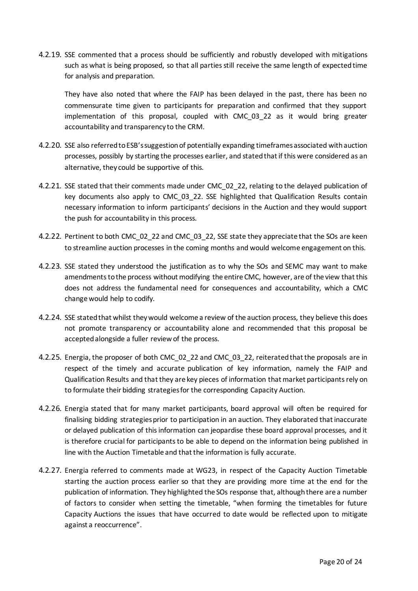4.2.19. SSE commented that a process should be sufficiently and robustly developed with mitigations such as what is being proposed, so that all parties still receive the same length of expected time for analysis and preparation.

They have also noted that where the FAIP has been delayed in the past, there has been no commensurate time given to participants for preparation and confirmed that they support implementation of this proposal, coupled with CMC\_03\_22 as it would bring greater accountability and transparency to the CRM.

- 4.2.20. SSE also referred to ESB's suggestion of potentially expanding timeframes associated with auction processes, possibly by starting the processes earlier, and stated that if this were considered as an alternative, they could be supportive of this.
- 4.2.21. SSE stated that their comments made under CMC 02 22, relating to the delayed publication of key documents also apply to CMC 03 22. SSE highlighted that Qualification Results contain necessary information to inform participants' decisions in the Auction and they would support the push for accountability in this process.
- 4.2.22. Pertinent to both CMC\_02\_22 and CMC\_03\_22, SSE state they appreciate that the SOs are keen to streamline auction processes in the coming months and would welcome engagement on this.
- 4.2.23. SSE stated they understood the justification as to why the SOs and SEMC may want to make amendments to the process without modifying the entire CMC, however, are of the view that this does not address the fundamental need for consequences and accountability, which a CMC change would help to codify.
- 4.2.24. SSE stated that whilst they would welcome a review of the auction process, they believe this does not promote transparency or accountability alone and recommended that this proposal be accepted alongside a fuller review of the process.
- 4.2.25. Energia, the proposer of both CMC\_02\_22 and CMC\_03\_22, reiterated that the proposals are in respect of the timely and accurate publication of key information, namely the FAIP and Qualification Results and that they are key pieces of information that market participants rely on to formulate their bidding strategies for the corresponding Capacity Auction.
- 4.2.26. Energia stated that for many market participants, board approval will often be required for finalising bidding strategies prior to participation in an auction. They elaborated that inaccurate or delayed publication of this information can jeopardise these board approval processes, and it is therefore crucial for participants to be able to depend on the information being published in line with the Auction Timetable and that the information is fully accurate.
- 4.2.27. Energia referred to comments made at WG23, in respect of the Capacity Auction Timetable starting the auction process earlier so that they are providing more time at the end for the publication of information. They highlighted the SOs response that, although there are a number of factors to consider when setting the timetable, "when forming the timetables for future Capacity Auctions the issues that have occurred to date would be reflected upon to mitigate against a reoccurrence".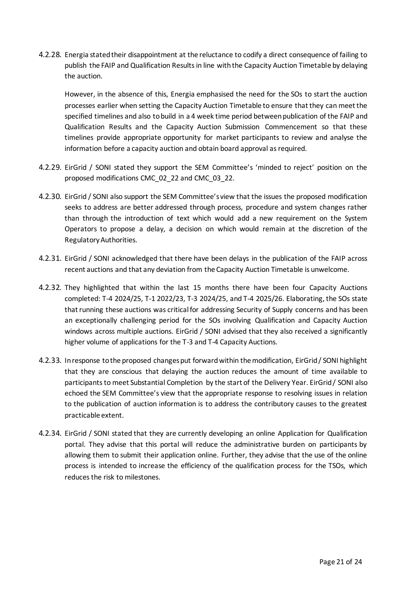4.2.28. Energia stated their disappointment at the reluctance to codify a direct consequence of failing to publish the FAIP and Qualification Results in line with the Capacity Auction Timetable by delaying the auction.

However, in the absence of this, Energia emphasised the need for the SOs to start the auction processes earlier when setting the Capacity Auction Timetable to ensure that they can meet the specified timelines and also to build in a 4 week time period between publication of the FAIP and Qualification Results and the Capacity Auction Submission Commencement so that these timelines provide appropriate opportunity for market participants to review and analyse the information before a capacity auction and obtain board approval as required.

- 4.2.29. EirGrid / SONI stated they support the SEM Committee's 'minded to reject' position on the proposed modifications CMC\_02\_22 and CMC\_03\_22.
- 4.2.30. EirGrid / SONI also support the SEM Committee's view that the issues the proposed modification seeks to address are better addressed through process, procedure and system changes rather than through the introduction of text which would add a new requirement on the System Operators to propose a delay, a decision on which would remain at the discretion of the Regulatory Authorities.
- 4.2.31. EirGrid / SONI acknowledged that there have been delays in the publication of the FAIP across recent auctions and that any deviation from the Capacity Auction Timetable is unwelcome.
- 4.2.32. They highlighted that within the last 15 months there have been four Capacity Auctions completed: T-4 2024/25, T-1 2022/23, T-3 2024/25, and T-4 2025/26. Elaborating, the SOs state that running these auctions was critical for addressing Security of Supply concerns and has been an exceptionally challenging period for the SOs involving Qualification and Capacity Auction windows across multiple auctions. EirGrid / SONI advised that they also received a significantly higher volume of applications for the T-3 and T-4 Capacity Auctions.
- 4.2.33. In response to the proposed changes put forward within the modification, EirGrid / SONI highlight that they are conscious that delaying the auction reduces the amount of time available to participants to meet Substantial Completion by the start of the Delivery Year. EirGrid / SONI also echoed the SEM Committee's view that the appropriate response to resolving issues in relation to the publication of auction information is to address the contributory causes to the greatest practicable extent.
- 4.2.34. EirGrid / SONI stated that they are currently developing an online Application for Qualification portal. They advise that this portal will reduce the administrative burden on participants by allowing them to submit their application online. Further, they advise that the use of the online process is intended to increase the efficiency of the qualification process for the TSOs, which reduces the risk to milestones.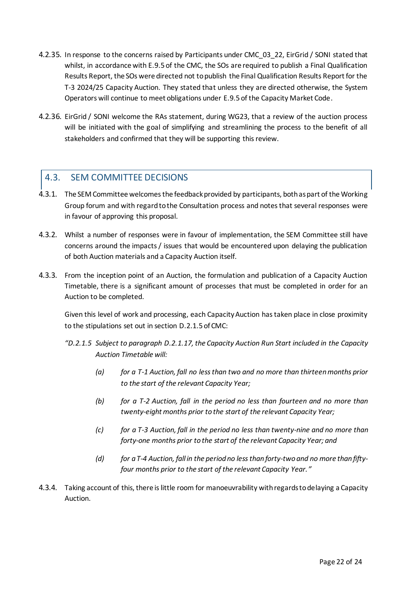- 4.2.35. In response to the concerns raised by Participants under CMC 03 22, EirGrid / SONI stated that whilst, in accordance with E.9.5 of the CMC, the SOs are required to publish a Final Qualification Results Report, the SOs were directed not to publish the Final Qualification Results Report for the T-3 2024/25 Capacity Auction. They stated that unless they are directed otherwise, the System Operators will continue to meet obligations under E.9.5 of the Capacity Market Code.
- 4.2.36. EirGrid / SONI welcome the RAs statement, during WG23, that a review of the auction process will be initiated with the goal of simplifying and streamlining the process to the benefit of all stakeholders and confirmed that they will be supporting this review.

## <span id="page-21-0"></span>4.3. SEM COMMITTEE DECISIONS

- 4.3.1. The SEM Committee welcomes the feedback provided by participants, both as part of the Working Group forum and with regard to the Consultation process and notes that several responses were in favour of approving this proposal.
- 4.3.2. Whilst a number of responses were in favour of implementation, the SEM Committee still have concerns around the impacts / issues that would be encountered upon delaying the publication of both Auction materials and a Capacity Auction itself.
- 4.3.3. From the inception point of an Auction, the formulation and publication of a Capacity Auction Timetable, there is a significant amount of processes that must be completed in order for an Auction to be completed.

Given this level of work and processing, each Capacity Auction has taken place in close proximity to the stipulations set out in section D.2.1.5 of CMC:

- *"D.2.1.5 Subject to paragraph D.2.1.17, the Capacity Auction Run Start included in the Capacity Auction Timetable will:*
	- *(a) for a T-1 Auction, fall no less than two and no more than thirteen months prior to the start of the relevant Capacity Year;*
	- *(b) for a T-2 Auction, fall in the period no less than fourteen and no more than twenty-eight months prior to the start of the relevant Capacity Year;*
	- *(c) for a T-3 Auction, fall in the period no less than twenty-nine and no more than forty-one months prior to the start of the relevant Capacity Year; and*
	- *(d) for a T-4 Auction, fall in the period no less than forty-two and no more than fiftyfour months prior to the start of the relevant Capacity Year."*
- 4.3.4. Taking account of this, there is little room for manoeuvrability with regards to delaying a Capacity Auction.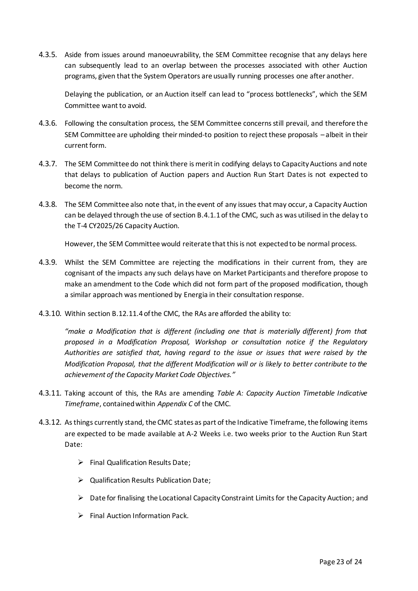4.3.5. Aside from issues around manoeuvrability, the SEM Committee recognise that any delays here can subsequently lead to an overlap between the processes associated with other Auction programs, given that the System Operators are usually running processes one after another.

Delaying the publication, or an Auction itself can lead to "process bottlenecks", which the SEM Committee want to avoid.

- 4.3.6. Following the consultation process, the SEM Committee concerns still prevail, and therefore the SEM Committee are upholding their minded-to position to reject these proposals – albeit in their current form.
- 4.3.7. The SEM Committee do not think there is merit in codifying delays to Capacity Auctions and note that delays to publication of Auction papers and Auction Run Start Dates is not expected to become the norm.
- 4.3.8. The SEM Committee also note that, in the event of any issues that may occur, a Capacity Auction can be delayed through the use of section B.4.1.1 of the CMC, such as was utilised in the delay to the T-4 CY2025/26 Capacity Auction.

However, the SEM Committee would reiterate that this is not expected to be normal process.

- 4.3.9. Whilst the SEM Committee are rejecting the modifications in their current from, they are cognisant of the impacts any such delays have on Market Participants and therefore propose to make an amendment to the Code which did not form part of the proposed modification, though a similar approach was mentioned by Energia in their consultation response.
- 4.3.10. Within section B.12.11.4 of the CMC, the RAs are afforded the ability to:

*"make a Modification that is different (including one that is materially different) from that proposed in a Modification Proposal, Workshop or consultation notice if the Regulatory Authorities are satisfied that, having regard to the issue or issues that were raised by the Modification Proposal, that the different Modification will or is likely to better contribute to the achievement of the Capacity Market Code Objectives."*

- 4.3.11. Taking account of this, the RAs are amending *Table A: Capacity Auction Timetable Indicative Timeframe*, contained within *Appendix C* of the CMC.
- 4.3.12. As things currently stand, the CMC states as part of the Indicative Timeframe, the following items are expected to be made available at A-2 Weeks i.e. two weeks prior to the Auction Run Start Date:
	- $\triangleright$  Final Qualification Results Date;
	- $\triangleright$  Qualification Results Publication Date:
	- $\triangleright$  Date for finalising the Locational Capacity Constraint Limits for the Capacity Auction; and
	- $\triangleright$  Final Auction Information Pack.